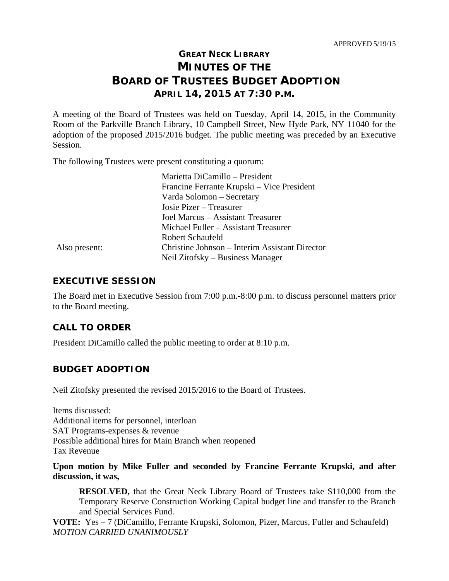# **GREAT NECK LIBRARY MINUTES OF THE BOARD OF TRUSTEES BUDGET ADOPTION APRIL 14, 2015 AT 7:30 P.M.**

A meeting of the Board of Trustees was held on Tuesday, April 14, 2015, in the Community Room of the Parkville Branch Library, 10 Campbell Street, New Hyde Park, NY 11040 for the adoption of the proposed 2015/2016 budget. The public meeting was preceded by an Executive Session.

The following Trustees were present constituting a quorum:

|               | Marietta DiCamillo - President                 |
|---------------|------------------------------------------------|
|               | Francine Ferrante Krupski – Vice President     |
|               | Varda Solomon - Secretary                      |
|               | Josie Pizer – Treasurer                        |
|               | Joel Marcus – Assistant Treasurer              |
|               | Michael Fuller – Assistant Treasurer           |
|               | Robert Schaufeld                               |
| Also present: | Christine Johnson – Interim Assistant Director |
|               | Neil Zitofsky – Business Manager               |

## **EXECUTIVE SESSION**

The Board met in Executive Session from 7:00 p.m.-8:00 p.m. to discuss personnel matters prior to the Board meeting.

## **CALL TO ORDER**

President DiCamillo called the public meeting to order at 8:10 p.m.

## **BUDGET ADOPTION**

Neil Zitofsky presented the revised 2015/2016 to the Board of Trustees.

Items discussed: Additional items for personnel, interloan SAT Programs-expenses & revenue Possible additional hires for Main Branch when reopened Tax Revenue

#### **Upon motion by Mike Fuller and seconded by Francine Ferrante Krupski, and after discussion, it was,**

**RESOLVED,** that the Great Neck Library Board of Trustees take \$110,000 from the Temporary Reserve Construction Working Capital budget line and transfer to the Branch and Special Services Fund.

**VOTE:** Yes – 7 (DiCamillo, Ferrante Krupski, Solomon, Pizer, Marcus, Fuller and Schaufeld) *MOTION CARRIED UNANIMOUSLY*